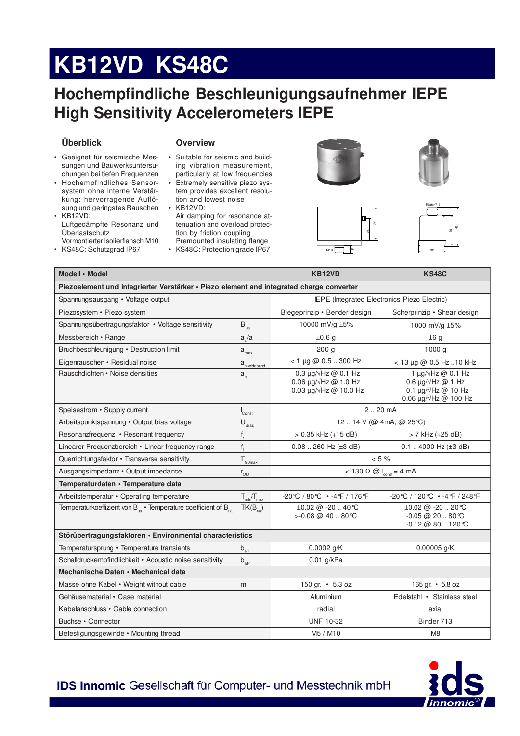# KB12VD KS48C

### Hochempfindliche Beschleunigungsaufnehmer IEPE **High Sensitivity Accelerometers IEPE**

#### Überblick

#### **Overview**

- · Geeignet für seismische Messungen und Bauwerksuntersuchungen bei tiefen Frequenzen
- Hochempfindliches Sensorsystem ohne interne Verstärkung: hervorragende Auflösung und geringstes Rauschen KB12VD:
- Luftgedämpfte Resonanz und Überlastschutz Vormontierter Isolierflansch M10
- KS48C: Schutzgrad IP67
- Suitable for seismic and build- $\bullet$ ing vibration measurement, particularly at low frequencies · Extremely sensitive piezo sys-
- tem provides excellent resolution and lowest noise • KB12VD:
- Air damping for resonance attenuation and overload protection by friction coupling Premounted insulating flange
- KS48C: Protection grade IP67







| Modell · Model                                                                           |                               | <b>KB12VD</b>                                                                                                  | <b>KS48C</b>                                                                                                                                 |
|------------------------------------------------------------------------------------------|-------------------------------|----------------------------------------------------------------------------------------------------------------|----------------------------------------------------------------------------------------------------------------------------------------------|
| Piezoelement und integrierter Verstärker · Piezo element and integrated charge converter |                               |                                                                                                                |                                                                                                                                              |
| Spannungsausgang • Voltage output                                                        |                               | IEPE (Integrated Electronics Piezo Electric)                                                                   |                                                                                                                                              |
| Piezosystem • Piezo system                                                               |                               | Biegeprinzip · Bender design                                                                                   | Scherprinzip • Shear design                                                                                                                  |
| Spannungsübertragungsfaktor • Voltage sensitivity                                        | $B_{\rm ua}$                  | 10000 mV/g ±5%                                                                                                 | 1000 mV/g ±5%                                                                                                                                |
| Messbereich • Range                                                                      | a/a                           | ±0.6 g                                                                                                         | ±6g                                                                                                                                          |
| Bruchbeschleunigung • Destruction limit                                                  | $a_{\rm max}$                 | 200 <sub>g</sub>                                                                                               | 1000 <sub>g</sub>                                                                                                                            |
| Eigenrauschen • Residual noise                                                           | a <sub>n wideband</sub>       | $<$ 1 µg @ 0.5  300 Hz                                                                                         | $<$ 13 µg @ 0.5 Hz 10 kHz                                                                                                                    |
| Rauschdichten • Noise densities                                                          | $a_{n}$                       | 0.3 $\mu$ g/ $\sqrt{Hz}$ @ 0.1 Hz<br>0.06 $\mu$ g/ $\sqrt{Hz}$ @ 1.0 Hz<br>0.03 $\mu$ g/ $\sqrt{Hz}$ @ 10.0 Hz | 1 $\mu$ g/ $\sqrt{Hz}$ @ 0.1 Hz<br>0.6 $\mu$ g/ $\sqrt{Hz}$ @ 1 Hz<br>0.1 $\mu$ g/ $\sqrt{Hz}$ @ 10 Hz<br>0.06 $\mu$ g/ $\sqrt{Hz}$ @ 100 Hz |
| Speisestrom • Supply current                                                             | $\mathsf{I}_{\mathsf{Const}}$ | 220 mA                                                                                                         |                                                                                                                                              |
| Arbeitspunktspannung • Output bias voltage                                               | $\mathsf{U}_{\text{Bias}}$    | 12  14 V (@ 4mA, @ 25°C)                                                                                       |                                                                                                                                              |
| Resonanzfrequenz • Resonant frequency                                                    | $f_r$                         | $> 0.35$ kHz (+15 dB)                                                                                          | > 7 kHz (+25 dB)                                                                                                                             |
| Linearer Frequenzbereich · Linear frequency range                                        | $f_{\parallel}$               | $0.08$ 260 Hz ( $\pm 3$ dB)                                                                                    | $0.1$ 4000 Hz ( $\pm$ 3 dB)                                                                                                                  |
| Querrichtungsfaktor • Transverse sensitivity                                             | $\Gamma_{\rm 90max}$          | $< 5 \%$                                                                                                       |                                                                                                                                              |
| Ausgangsimpedanz · Output impedance                                                      | $r_{\text{OUT}}$              | $< 130 \Omega \omega$ $ _{const} = 4 mA$                                                                       |                                                                                                                                              |
| Temperaturdaten · Temperature data                                                       |                               |                                                                                                                |                                                                                                                                              |
| Arbeitstemperatur • Operating temperature                                                | $T_{min}/T_{max}$             | $-20^{\circ}C/80^{\circ}C$ • $-4^{\circ}F/176^{\circ}F$                                                        | -20℃ / 120℃ • -4 F / 248 F                                                                                                                   |
| Temperaturkoeffizient von $B_{\text{m}}$ · Temperature coefficient of $B_{\text{m}}$     | $TK(B_{\text{na}})$           | $\pm 0.02$ @ -20  40 °C<br>> -0.08 @ 40  80 ℃                                                                  | ±0.02 @ -20  20 ℃<br>$-0.05 \ @ 20 \ .80 \degree$ C<br>$-0.12 \ @ 80.120 \degree C$                                                          |
| Störübertragungsfaktoren · Environmental characteristics                                 |                               |                                                                                                                |                                                                                                                                              |
| Temperatursprung • Temperature transients                                                | $b_{aT}$                      | $0.0002$ g/K                                                                                                   | $0.00005$ g/K                                                                                                                                |
| Schalldruckempfindlichkeit • Acoustic noise sensitivity                                  | $b_{ap}$                      | $0.01$ g/kPa                                                                                                   |                                                                                                                                              |
| Mechanische Daten • Mechanical data                                                      |                               |                                                                                                                |                                                                                                                                              |
| Masse ohne Kabel • Weight without cable                                                  | m                             | 150 gr. • 5.3 oz                                                                                               | 165 gr. • 5.8 oz                                                                                                                             |
| Gehäusematerial • Case material                                                          |                               | Aluminium                                                                                                      | Edelstahl • Stainless steel                                                                                                                  |
| Kabelanschluss • Cable connection                                                        |                               | radial                                                                                                         | axial                                                                                                                                        |
| Buchse • Connector                                                                       |                               | <b>UNF 10-32</b>                                                                                               | Binder 713                                                                                                                                   |
| Befestigungsgewinde • Mounting thread                                                    |                               | M5 / M10                                                                                                       | M <sub>8</sub>                                                                                                                               |

**IDS Innomic Gesellschaft für Computer- und Messtechnik mbH**